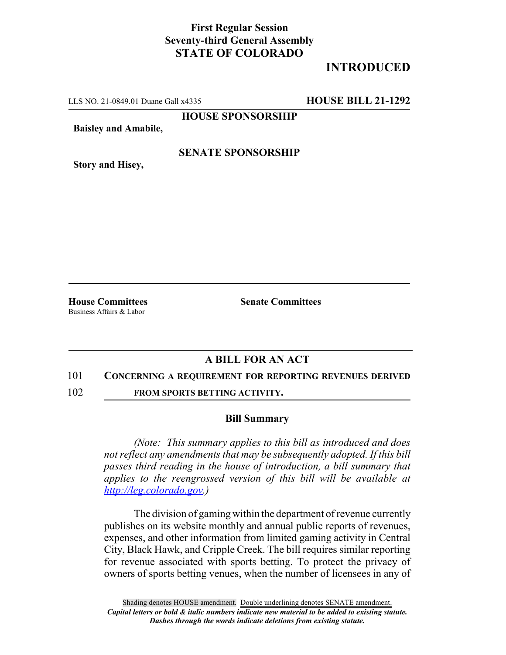## **First Regular Session Seventy-third General Assembly STATE OF COLORADO**

# **INTRODUCED**

LLS NO. 21-0849.01 Duane Gall x4335 **HOUSE BILL 21-1292**

**HOUSE SPONSORSHIP**

**Baisley and Amabile,**

**Story and Hisey,**

### **SENATE SPONSORSHIP**

Business Affairs & Labor

**House Committees Senate Committees**

## **A BILL FOR AN ACT**

#### 101 **CONCERNING A REQUIREMENT FOR REPORTING REVENUES DERIVED**

102 **FROM SPORTS BETTING ACTIVITY.**

#### **Bill Summary**

*(Note: This summary applies to this bill as introduced and does not reflect any amendments that may be subsequently adopted. If this bill passes third reading in the house of introduction, a bill summary that applies to the reengrossed version of this bill will be available at http://leg.colorado.gov.)*

The division of gaming within the department of revenue currently publishes on its website monthly and annual public reports of revenues, expenses, and other information from limited gaming activity in Central City, Black Hawk, and Cripple Creek. The bill requires similar reporting for revenue associated with sports betting. To protect the privacy of owners of sports betting venues, when the number of licensees in any of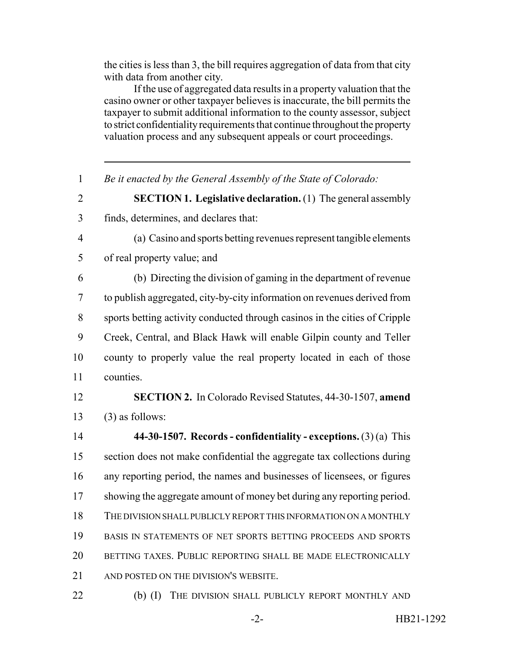the cities is less than 3, the bill requires aggregation of data from that city with data from another city.

If the use of aggregated data results in a property valuation that the casino owner or other taxpayer believes is inaccurate, the bill permits the taxpayer to submit additional information to the county assessor, subject to strict confidentiality requirements that continue throughout the property valuation process and any subsequent appeals or court proceedings.

 *Be it enacted by the General Assembly of the State of Colorado:* **SECTION 1. Legislative declaration.** (1) The general assembly finds, determines, and declares that: (a) Casino and sports betting revenues represent tangible elements of real property value; and (b) Directing the division of gaming in the department of revenue to publish aggregated, city-by-city information on revenues derived from sports betting activity conducted through casinos in the cities of Cripple Creek, Central, and Black Hawk will enable Gilpin county and Teller county to properly value the real property located in each of those counties. **SECTION 2.** In Colorado Revised Statutes, 44-30-1507, **amend** (3) as follows: **44-30-1507. Records - confidentiality - exceptions.** (3) (a) This section does not make confidential the aggregate tax collections during any reporting period, the names and businesses of licensees, or figures 17 showing the aggregate amount of money bet during any reporting period. THE DIVISION SHALL PUBLICLY REPORT THIS INFORMATION ON A MONTHLY BASIS IN STATEMENTS OF NET SPORTS BETTING PROCEEDS AND SPORTS BETTING TAXES. PUBLIC REPORTING SHALL BE MADE ELECTRONICALLY AND POSTED ON THE DIVISION'S WEBSITE. 22 (b) (I) THE DIVISION SHALL PUBLICLY REPORT MONTHLY AND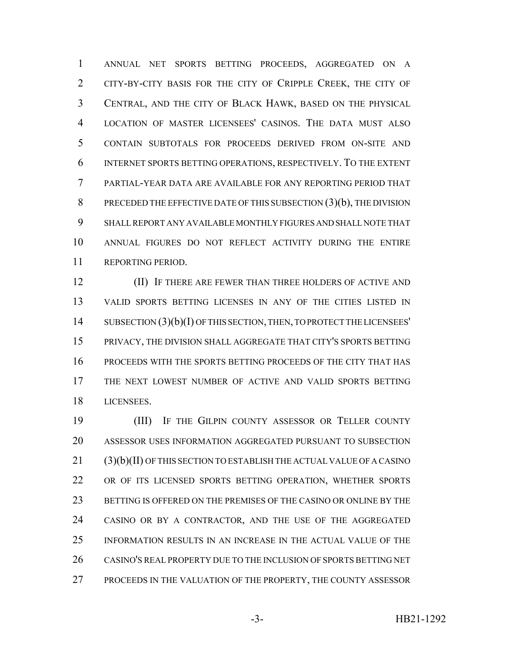ANNUAL NET SPORTS BETTING PROCEEDS, AGGREGATED ON A CITY-BY-CITY BASIS FOR THE CITY OF CRIPPLE CREEK, THE CITY OF CENTRAL, AND THE CITY OF BLACK HAWK, BASED ON THE PHYSICAL LOCATION OF MASTER LICENSEES' CASINOS. THE DATA MUST ALSO CONTAIN SUBTOTALS FOR PROCEEDS DERIVED FROM ON-SITE AND INTERNET SPORTS BETTING OPERATIONS, RESPECTIVELY. TO THE EXTENT PARTIAL-YEAR DATA ARE AVAILABLE FOR ANY REPORTING PERIOD THAT PRECEDED THE EFFECTIVE DATE OF THIS SUBSECTION (3)(b), THE DIVISION SHALL REPORT ANY AVAILABLE MONTHLY FIGURES AND SHALL NOTE THAT ANNUAL FIGURES DO NOT REFLECT ACTIVITY DURING THE ENTIRE REPORTING PERIOD.

 (II) IF THERE ARE FEWER THAN THREE HOLDERS OF ACTIVE AND VALID SPORTS BETTING LICENSES IN ANY OF THE CITIES LISTED IN SUBSECTION (3)(b)(I) OF THIS SECTION, THEN, TO PROTECT THE LICENSEES' PRIVACY, THE DIVISION SHALL AGGREGATE THAT CITY'S SPORTS BETTING PROCEEDS WITH THE SPORTS BETTING PROCEEDS OF THE CITY THAT HAS THE NEXT LOWEST NUMBER OF ACTIVE AND VALID SPORTS BETTING LICENSEES.

19 (III) IF THE GILPIN COUNTY ASSESSOR OR TELLER COUNTY ASSESSOR USES INFORMATION AGGREGATED PURSUANT TO SUBSECTION (3)(b)(II) OF THIS SECTION TO ESTABLISH THE ACTUAL VALUE OF A CASINO OR OF ITS LICENSED SPORTS BETTING OPERATION, WHETHER SPORTS BETTING IS OFFERED ON THE PREMISES OF THE CASINO OR ONLINE BY THE CASINO OR BY A CONTRACTOR, AND THE USE OF THE AGGREGATED INFORMATION RESULTS IN AN INCREASE IN THE ACTUAL VALUE OF THE CASINO'S REAL PROPERTY DUE TO THE INCLUSION OF SPORTS BETTING NET PROCEEDS IN THE VALUATION OF THE PROPERTY, THE COUNTY ASSESSOR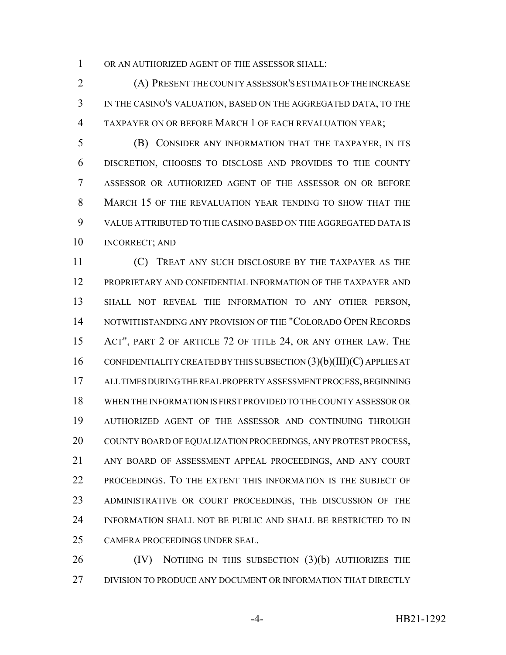OR AN AUTHORIZED AGENT OF THE ASSESSOR SHALL:

 (A) PRESENT THE COUNTY ASSESSOR'S ESTIMATE OF THE INCREASE IN THE CASINO'S VALUATION, BASED ON THE AGGREGATED DATA, TO THE TAXPAYER ON OR BEFORE MARCH 1 OF EACH REVALUATION YEAR;

 (B) CONSIDER ANY INFORMATION THAT THE TAXPAYER, IN ITS DISCRETION, CHOOSES TO DISCLOSE AND PROVIDES TO THE COUNTY ASSESSOR OR AUTHORIZED AGENT OF THE ASSESSOR ON OR BEFORE MARCH 15 OF THE REVALUATION YEAR TENDING TO SHOW THAT THE VALUE ATTRIBUTED TO THE CASINO BASED ON THE AGGREGATED DATA IS INCORRECT; AND

 (C) TREAT ANY SUCH DISCLOSURE BY THE TAXPAYER AS THE PROPRIETARY AND CONFIDENTIAL INFORMATION OF THE TAXPAYER AND SHALL NOT REVEAL THE INFORMATION TO ANY OTHER PERSON, NOTWITHSTANDING ANY PROVISION OF THE "COLORADO OPEN RECORDS ACT", PART 2 OF ARTICLE 72 OF TITLE 24, OR ANY OTHER LAW. THE CONFIDENTIALITY CREATED BY THIS SUBSECTION (3)(b)(III)(C) APPLIES AT ALL TIMES DURING THE REAL PROPERTY ASSESSMENT PROCESS, BEGINNING WHEN THE INFORMATION IS FIRST PROVIDED TO THE COUNTY ASSESSOR OR AUTHORIZED AGENT OF THE ASSESSOR AND CONTINUING THROUGH 20 COUNTY BOARD OF EQUALIZATION PROCEEDINGS, ANY PROTEST PROCESS, ANY BOARD OF ASSESSMENT APPEAL PROCEEDINGS, AND ANY COURT PROCEEDINGS. TO THE EXTENT THIS INFORMATION IS THE SUBJECT OF ADMINISTRATIVE OR COURT PROCEEDINGS, THE DISCUSSION OF THE INFORMATION SHALL NOT BE PUBLIC AND SHALL BE RESTRICTED TO IN CAMERA PROCEEDINGS UNDER SEAL.

26 (IV) NOTHING IN THIS SUBSECTION (3)(b) AUTHORIZES THE DIVISION TO PRODUCE ANY DOCUMENT OR INFORMATION THAT DIRECTLY